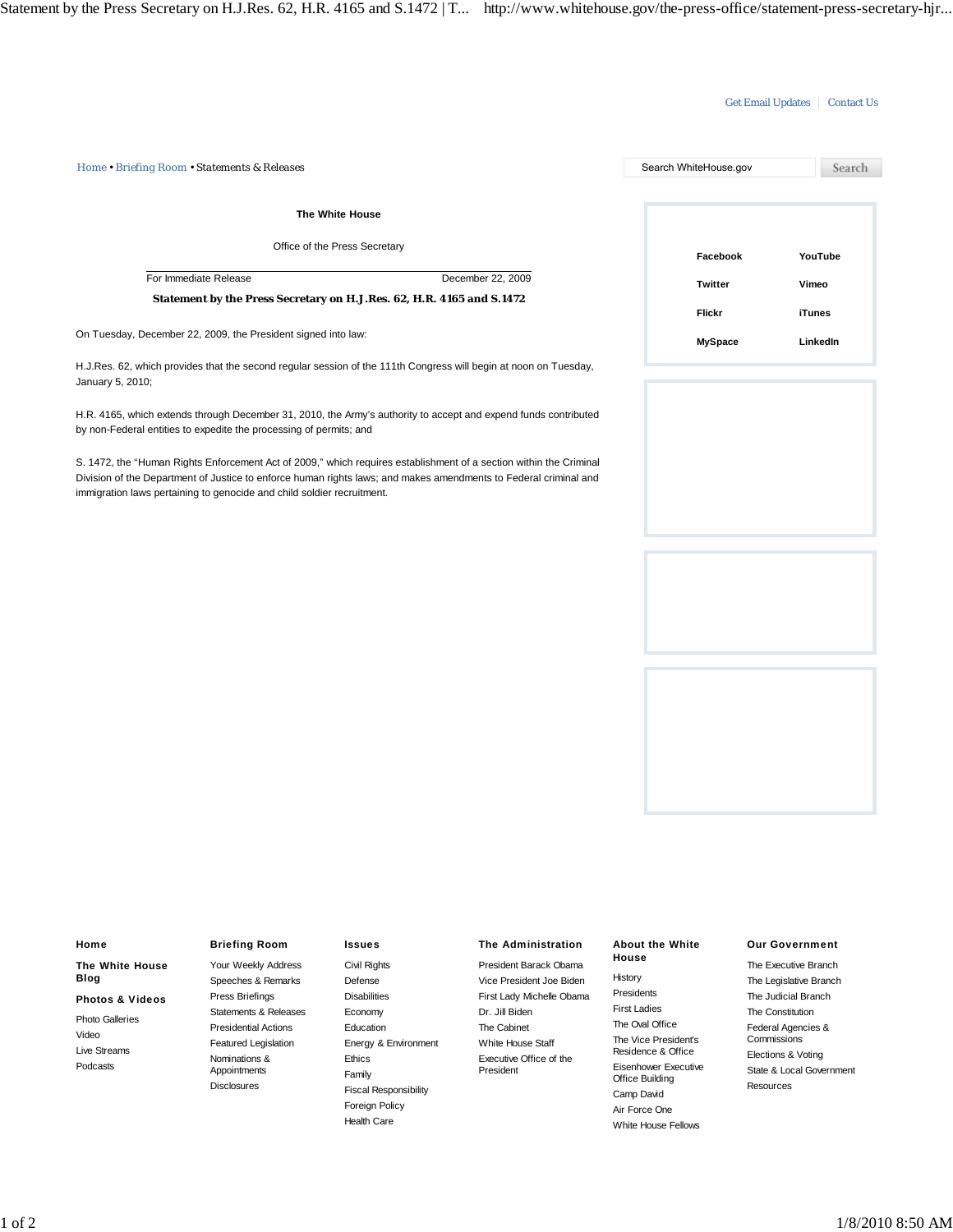## Get Email Updates | Contact Us

*Home • Briefing Room • Statements & Releases* Search WhiteHouse.gov Search **The White House** Office of the Press Secretary **Facebook YouTube** For Immediate Release December 22, 2009 **Vimeo Twitter Statement by the Press Secretary on H.J.Res. 62, H.R. 4165 and S.1472 Flickr iTunes** On Tuesday, December 22, 2009, the President signed into law: **MySpace LinkedIn** H.J.Res. 62, which provides that the second regular session of the 111th Congress will begin at noon on Tuesday, January 5, 2010;

H.R. 4165, which extends through December 31, 2010, the Army's authority to accept and expend funds contributed by non-Federal entities to expedite the processing of permits; and

S. 1472, the "Human Rights Enforcement Act of 2009," which requires establishment of a section within the Criminal Division of the Department of Justice to enforce human rights laws; and makes amendments to Federal criminal and immigration laws pertaining to genocide and child soldier recruitment.



# **Home The White House Blog Photos & Videos** Photo Galleries Video Live Streams Podcasts

# **Briefing Room**

Your Weekly Address Speeches & Remarks Press Briefings Statements & Releases Presidential Actions Featured Legislation Nominations & Appointments **Disclosures** 

#### **Issues**

Civil Rights Defense **Disabilities** Economy Education Energy & Environment Ethics Family Fiscal Responsibility Foreign Policy Health Care

### **The Administration**

President Barack Obama Vice President Joe Biden First Lady Michelle Obama Dr. Jill Biden The Cabinet White House Staff Executive Office of the President

#### **About the White House**

History Presidents First Ladies The Oval Office The Vice President's Residence & Office Eisenhower Executive Office Building Camp David Air Force One White House Fellows

#### **Our Government**

The Executive Branch The Legislative Branch The Judicial Branch The Constitution Federal Agencies & **Commissions** Elections & Voting State & Local Government Resources